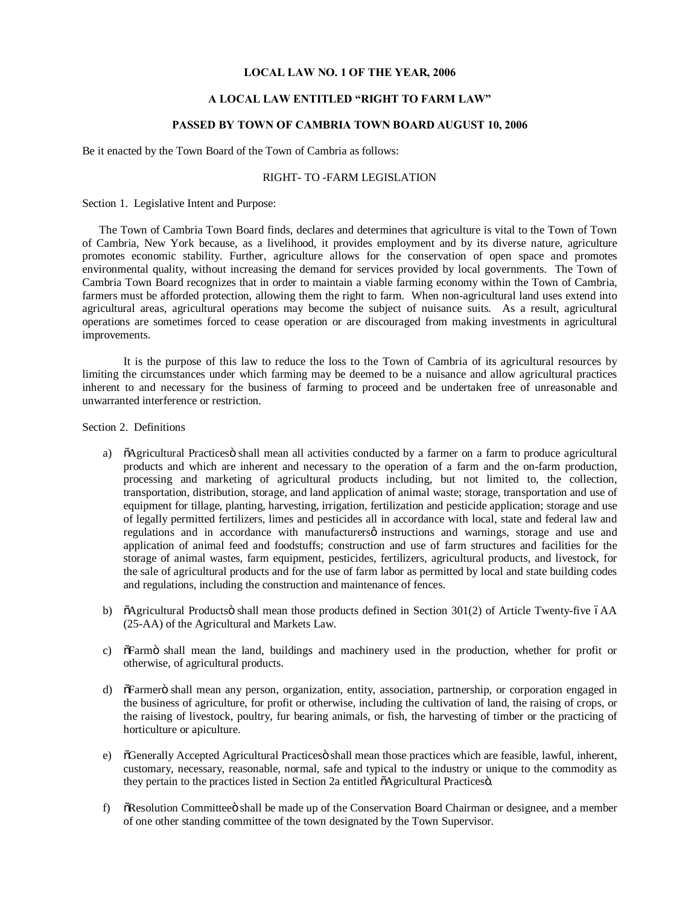#### **LOCAL LAW NO. 1 OF THE YEAR, 2006**

#### **A LOCAL LAW ENTITLED "RIGHT TO FARM LAW"**

### **PASSED BY TOWN OF CAMBRIA TOWN BOARD AUGUST 10, 2006**

Be it enacted by the Town Board of the Town of Cambria as follows:

### RIGHT- TO -FARM LEGISLATION

Section 1. Legislative Intent and Purpose:

 The Town of Cambria Town Board finds, declares and determines that agriculture is vital to the Town of Town of Cambria, New York because, as a livelihood, it provides employment and by its diverse nature, agriculture promotes economic stability. Further, agriculture allows for the conservation of open space and promotes environmental quality, without increasing the demand for services provided by local governments. The Town of Cambria Town Board recognizes that in order to maintain a viable farming economy within the Town of Cambria, farmers must be afforded protection, allowing them the right to farm. When non-agricultural land uses extend into agricultural areas, agricultural operations may become the subject of nuisance suits. As a result, agricultural operations are sometimes forced to cease operation or are discouraged from making investments in agricultural improvements.

It is the purpose of this law to reduce the loss to the Town of Cambria of its agricultural resources by limiting the circumstances under which farming may be deemed to be a nuisance and allow agricultural practices inherent to and necessary for the business of farming to proceed and be undertaken free of unreasonable and unwarranted interference or restriction.

Section 2. Definitions

- a) "ÕAgricultural Practicesö shall mean all activities conducted by a farmer on a farm to produce agricultural products and which are inherent and necessary to the operation of a farm and the on-farm production, processing and marketing of agricultural products including, but not limited to, the collection, transportation, distribution, storage, and land application of animal waste; storage, transportation and use of equipment for tillage, planting, harvesting, irrigation, fertilization and pesticide application; storage and use of legally permitted fertilizers, limes and pesticides all in accordance with local, state and federal law and regulations and in accordance with manufacturers  $\phi$  instructions and warnings, storage and use and application of animal feed and foodstuffs; construction and use of farm structures and facilities for the storage of animal wastes, farm equipment, pesticides, fertilizers, agricultural products, and livestock, for the sale of agricultural products and for the use of farm labor as permitted by local and state building codes and regulations, including the construction and maintenance of fences.
- b)  $\ddot{\text{o}}$ Agricultural Products $\ddot{\text{o}}$  shall mean those products defined in Section 301(2) of Article Twenty-five  $\ddot{\text{o}}$ AA (25-AA) of the Agricultural and Markets Law.
- c)  $\delta$ Farmö shall mean the land, buildings and machinery used in the production, whether for profit or otherwise, of agricultural products.
- d) "The offermer" of shall mean any person, organization, entity, association, partnership, or corporation engaged in the business of agriculture, for profit or otherwise, including the cultivation of land, the raising of crops, or the raising of livestock, poultry, fur bearing animals, or fish, the harvesting of timber or the practicing of horticulture or apiculture.
- e)  $\tilde{\text{O}}$  Generally Accepted Agricultural Practices is shall mean those practices which are feasible, lawful, inherent, customary, necessary, reasonable, normal, safe and typical to the industry or unique to the commodity as they pertain to the practices listed in Section 2a entitled  $\tilde{o}$ Agricultural Practices $\tilde{o}$ .
- f)  $\delta$ Resolution Committee  $\delta$  shall be made up of the Conservation Board Chairman or designee, and a member of one other standing committee of the town designated by the Town Supervisor.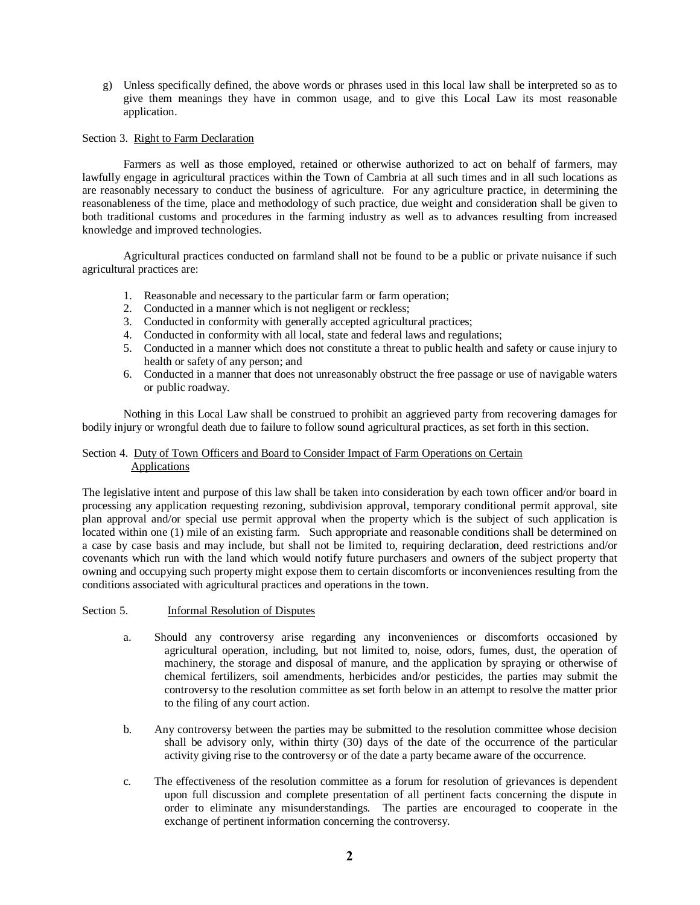g) Unless specifically defined, the above words or phrases used in this local law shall be interpreted so as to give them meanings they have in common usage, and to give this Local Law its most reasonable application.

# Section 3. Right to Farm Declaration

Farmers as well as those employed, retained or otherwise authorized to act on behalf of farmers, may lawfully engage in agricultural practices within the Town of Cambria at all such times and in all such locations as are reasonably necessary to conduct the business of agriculture. For any agriculture practice, in determining the reasonableness of the time, place and methodology of such practice, due weight and consideration shall be given to both traditional customs and procedures in the farming industry as well as to advances resulting from increased knowledge and improved technologies.

Agricultural practices conducted on farmland shall not be found to be a public or private nuisance if such agricultural practices are:

- 1. Reasonable and necessary to the particular farm or farm operation;
- 2. Conducted in a manner which is not negligent or reckless;
- 3. Conducted in conformity with generally accepted agricultural practices;
- 4. Conducted in conformity with all local, state and federal laws and regulations;
- 5. Conducted in a manner which does not constitute a threat to public health and safety or cause injury to health or safety of any person; and
- 6. Conducted in a manner that does not unreasonably obstruct the free passage or use of navigable waters or public roadway.

Nothing in this Local Law shall be construed to prohibit an aggrieved party from recovering damages for bodily injury or wrongful death due to failure to follow sound agricultural practices, as set forth in this section.

# Section 4. Duty of Town Officers and Board to Consider Impact of Farm Operations on Certain Applications

The legislative intent and purpose of this law shall be taken into consideration by each town officer and/or board in processing any application requesting rezoning, subdivision approval, temporary conditional permit approval, site plan approval and/or special use permit approval when the property which is the subject of such application is located within one (1) mile of an existing farm. Such appropriate and reasonable conditions shall be determined on a case by case basis and may include, but shall not be limited to, requiring declaration, deed restrictions and/or covenants which run with the land which would notify future purchasers and owners of the subject property that owning and occupying such property might expose them to certain discomforts or inconveniences resulting from the conditions associated with agricultural practices and operations in the town.

### Section 5. Informal Resolution of Disputes

- a. Should any controversy arise regarding any inconveniences or discomforts occasioned by agricultural operation, including, but not limited to, noise, odors, fumes, dust, the operation of machinery, the storage and disposal of manure, and the application by spraying or otherwise of chemical fertilizers, soil amendments, herbicides and/or pesticides, the parties may submit the controversy to the resolution committee as set forth below in an attempt to resolve the matter prior to the filing of any court action.
- b. Any controversy between the parties may be submitted to the resolution committee whose decision shall be advisory only, within thirty (30) days of the date of the occurrence of the particular activity giving rise to the controversy or of the date a party became aware of the occurrence.
- c. The effectiveness of the resolution committee as a forum for resolution of grievances is dependent upon full discussion and complete presentation of all pertinent facts concerning the dispute in order to eliminate any misunderstandings. The parties are encouraged to cooperate in the exchange of pertinent information concerning the controversy.